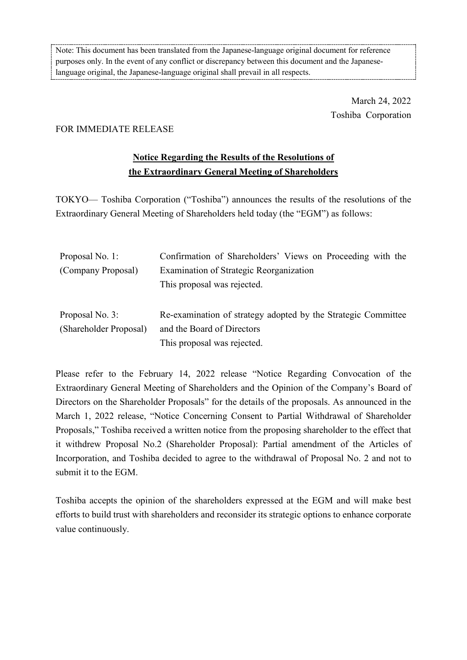Note: This document has been translated from the Japanese-language original document for reference purposes only. In the event of any conflict or discrepancy between this document and the Japaneselanguage original, the Japanese-language original shall prevail in all respects.

> March 24, 2022 Toshiba Corporation

## FOR IMMEDIATE RELEASE

## **Notice Regarding the Results of the Resolutions of the Extraordinary General Meeting of Shareholders**

TOKYO— Toshiba Corporation ("Toshiba") announces the results of the resolutions of the Extraordinary General Meeting of Shareholders held today (the "EGM") as follows:

| Proposal No. 1:        | Confirmation of Shareholders' Views on Proceeding with the    |
|------------------------|---------------------------------------------------------------|
| (Company Proposal)     | Examination of Strategic Reorganization                       |
|                        | This proposal was rejected.                                   |
|                        |                                                               |
| Proposal No. 3:        | Re-examination of strategy adopted by the Strategic Committee |
| (Shareholder Proposal) | and the Board of Directors                                    |
|                        | This proposal was rejected.                                   |

Please refer to the February 14, 2022 release "Notice Regarding Convocation of the Extraordinary General Meeting of Shareholders and the Opinion of the Company's Board of Directors on the Shareholder Proposals" for the details of the proposals. As announced in the March 1, 2022 release, "Notice Concerning Consent to Partial Withdrawal of Shareholder Proposals," Toshiba received a written notice from the proposing shareholder to the effect that it withdrew Proposal No.2 (Shareholder Proposal): Partial amendment of the Articles of Incorporation, and Toshiba decided to agree to the withdrawal of Proposal No. 2 and not to submit it to the EGM.

Toshiba accepts the opinion of the shareholders expressed at the EGM and will make best efforts to build trust with shareholders and reconsider its strategic options to enhance corporate value continuously.